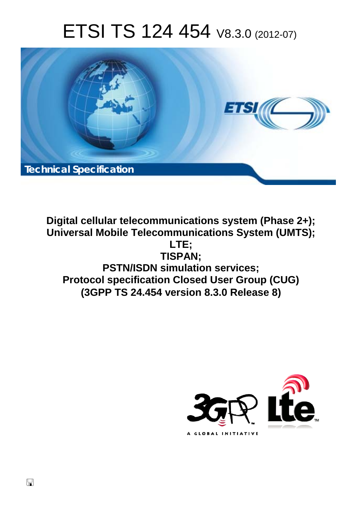# ETSI TS 124 454 V8.3.0 (2012-07)



**Digital cellular telecommunications system (Phase 2+); Universal Mobile Telecommunications System (UMTS); LTE; TISPAN; PSTN/ISDN simulation services; Protocol specification Closed User Group (CUG) (3GPP TS 24.454 version 8.3.0 Release 8)** 

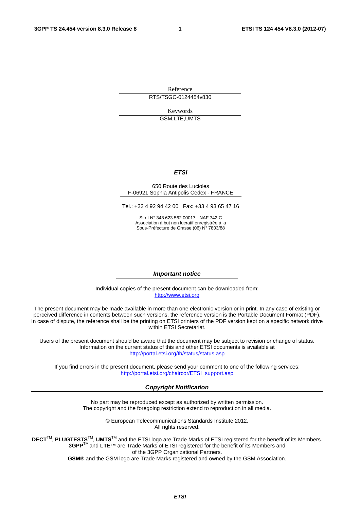Reference RTS/TSGC-0124454v830

> Keywords GSM,LTE,UMTS

#### *ETSI*

#### 650 Route des Lucioles F-06921 Sophia Antipolis Cedex - FRANCE

Tel.: +33 4 92 94 42 00 Fax: +33 4 93 65 47 16

Siret N° 348 623 562 00017 - NAF 742 C Association à but non lucratif enregistrée à la Sous-Préfecture de Grasse (06) N° 7803/88

#### *Important notice*

Individual copies of the present document can be downloaded from: [http://www.etsi.org](http://www.etsi.org/)

The present document may be made available in more than one electronic version or in print. In any case of existing or perceived difference in contents between such versions, the reference version is the Portable Document Format (PDF). In case of dispute, the reference shall be the printing on ETSI printers of the PDF version kept on a specific network drive within ETSI Secretariat.

Users of the present document should be aware that the document may be subject to revision or change of status. Information on the current status of this and other ETSI documents is available at <http://portal.etsi.org/tb/status/status.asp>

If you find errors in the present document, please send your comment to one of the following services: [http://portal.etsi.org/chaircor/ETSI\\_support.asp](http://portal.etsi.org/chaircor/ETSI_support.asp)

#### *Copyright Notification*

No part may be reproduced except as authorized by written permission. The copyright and the foregoing restriction extend to reproduction in all media.

> © European Telecommunications Standards Institute 2012. All rights reserved.

**DECT**TM, **PLUGTESTS**TM, **UMTS**TM and the ETSI logo are Trade Marks of ETSI registered for the benefit of its Members. **3GPP**TM and **LTE**™ are Trade Marks of ETSI registered for the benefit of its Members and of the 3GPP Organizational Partners.

**GSM**® and the GSM logo are Trade Marks registered and owned by the GSM Association.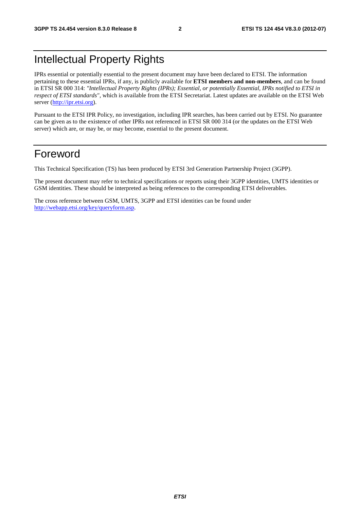# Intellectual Property Rights

IPRs essential or potentially essential to the present document may have been declared to ETSI. The information pertaining to these essential IPRs, if any, is publicly available for **ETSI members and non-members**, and can be found in ETSI SR 000 314: *"Intellectual Property Rights (IPRs); Essential, or potentially Essential, IPRs notified to ETSI in respect of ETSI standards"*, which is available from the ETSI Secretariat. Latest updates are available on the ETSI Web server ([http://ipr.etsi.org\)](http://webapp.etsi.org/IPR/home.asp).

Pursuant to the ETSI IPR Policy, no investigation, including IPR searches, has been carried out by ETSI. No guarantee can be given as to the existence of other IPRs not referenced in ETSI SR 000 314 (or the updates on the ETSI Web server) which are, or may be, or may become, essential to the present document.

# Foreword

This Technical Specification (TS) has been produced by ETSI 3rd Generation Partnership Project (3GPP).

The present document may refer to technical specifications or reports using their 3GPP identities, UMTS identities or GSM identities. These should be interpreted as being references to the corresponding ETSI deliverables.

The cross reference between GSM, UMTS, 3GPP and ETSI identities can be found under [http://webapp.etsi.org/key/queryform.asp.](http://webapp.etsi.org/key/queryform.asp)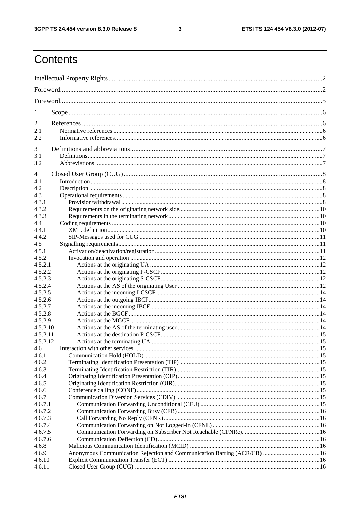$\mathbf{3}$ 

# Contents

| 1                  |                                                                          |  |
|--------------------|--------------------------------------------------------------------------|--|
| $\overline{2}$     |                                                                          |  |
| 2.1                |                                                                          |  |
| 2.2                |                                                                          |  |
| 3                  |                                                                          |  |
| 3.1                |                                                                          |  |
| 3.2                |                                                                          |  |
| 4                  |                                                                          |  |
| 4.1                |                                                                          |  |
| 4.2                |                                                                          |  |
| 4.3                |                                                                          |  |
| 4.3.1              |                                                                          |  |
| 4.3.2              |                                                                          |  |
| 4.3.3              |                                                                          |  |
| 4.4                |                                                                          |  |
| 4.4.1              |                                                                          |  |
| 4.4.2              |                                                                          |  |
| 4.5                |                                                                          |  |
| 4.5.1              |                                                                          |  |
| 4.5.2              |                                                                          |  |
| 4.5.2.1            |                                                                          |  |
| 4.5.2.2            |                                                                          |  |
| 4.5.2.3            |                                                                          |  |
| 4.5.2.4            |                                                                          |  |
| 4.5.2.5            |                                                                          |  |
| 4.5.2.6            |                                                                          |  |
| 4.5.2.7<br>4.5.2.8 |                                                                          |  |
| 4.5.2.9            |                                                                          |  |
| 4.5.2.10           |                                                                          |  |
| 4.5.2.11           |                                                                          |  |
| 4.5.2.12           |                                                                          |  |
| 4.6                |                                                                          |  |
| 4.6.1              |                                                                          |  |
| 4.6.2              |                                                                          |  |
| 4.6.3              |                                                                          |  |
| 4.6.4              |                                                                          |  |
| 4.6.5              |                                                                          |  |
| 4.6.6              |                                                                          |  |
| 4.6.7              |                                                                          |  |
| 4.6.7.1            |                                                                          |  |
| 4.6.7.2            |                                                                          |  |
| 4.6.7.3            |                                                                          |  |
| 4.6.7.4            |                                                                          |  |
| 4.6.7.5            |                                                                          |  |
| 4.6.7.6            |                                                                          |  |
| 4.6.8              |                                                                          |  |
| 4.6.9              | Anonymous Communication Rejection and Communication Barring (ACR/CB)  16 |  |
| 4.6.10             |                                                                          |  |
| 4.6.11             |                                                                          |  |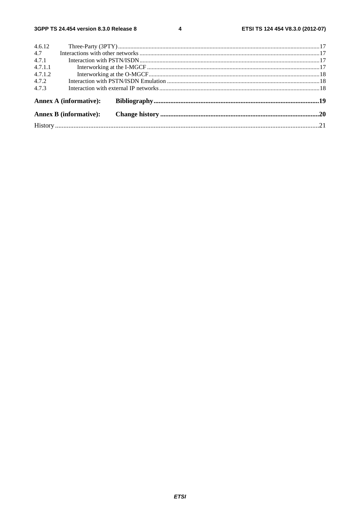$\overline{\mathbf{4}}$ 

| 4.6.12  |                               |  |  |
|---------|-------------------------------|--|--|
| 4.7     |                               |  |  |
| 4.7.1   |                               |  |  |
| 4.7.1.1 |                               |  |  |
| 4.7.1.2 |                               |  |  |
| 4.7.2   |                               |  |  |
| 4.7.3   |                               |  |  |
|         | Annex A (informative):        |  |  |
|         | <b>Annex B</b> (informative): |  |  |
|         |                               |  |  |
|         |                               |  |  |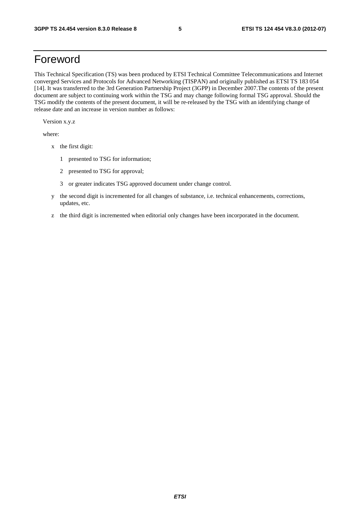# Foreword

This Technical Specification (TS) was been produced by ETSI Technical Committee Telecommunications and Internet converged Services and Protocols for Advanced Networking (TISPAN) and originally published as ETSI TS 183 054 [14]. It was transferred to the 3rd Generation Partnership Project (3GPP) in December 2007.The contents of the present document are subject to continuing work within the TSG and may change following formal TSG approval. Should the TSG modify the contents of the present document, it will be re-released by the TSG with an identifying change of release date and an increase in version number as follows:

Version x.y.z

where:

- x the first digit:
	- 1 presented to TSG for information;
	- 2 presented to TSG for approval;
	- 3 or greater indicates TSG approved document under change control.
- y the second digit is incremented for all changes of substance, i.e. technical enhancements, corrections, updates, etc.
- z the third digit is incremented when editorial only changes have been incorporated in the document.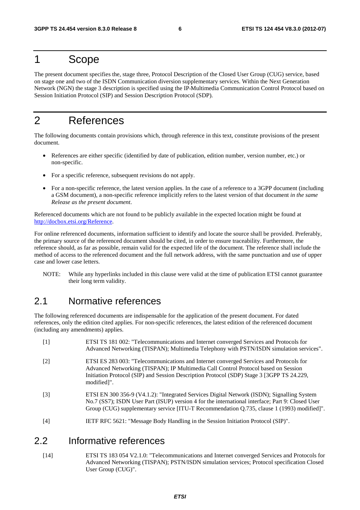# 1 Scope

The present document specifies the, stage three, Protocol Description of the Closed User Group (CUG) service, based on stage one and two of the ISDN Communication diversion supplementary services. Within the Next Generation Network (NGN) the stage 3 description is specified using the IP Multimedia Communication Control Protocol based on Session Initiation Protocol (SIP) and Session Description Protocol (SDP).

# 2 References

The following documents contain provisions which, through reference in this text, constitute provisions of the present document.

- References are either specific (identified by date of publication, edition number, version number, etc.) or non-specific.
- For a specific reference, subsequent revisions do not apply.
- For a non-specific reference, the latest version applies. In the case of a reference to a 3GPP document (including a GSM document), a non-specific reference implicitly refers to the latest version of that document *in the same Release as the present document*.

Referenced documents which are not found to be publicly available in the expected location might be found at http://docbox.etsi.org/Reference.

For online referenced documents, information sufficient to identify and locate the source shall be provided. Preferably, the primary source of the referenced document should be cited, in order to ensure traceability. Furthermore, the reference should, as far as possible, remain valid for the expected life of the document. The reference shall include the method of access to the referenced document and the full network address, with the same punctuation and use of upper case and lower case letters.

NOTE: While any hyperlinks included in this clause were valid at the time of publication ETSI cannot guarantee their long term validity.

# 2.1 Normative references

The following referenced documents are indispensable for the application of the present document. For dated references, only the edition cited applies. For non-specific references, the latest edition of the referenced document (including any amendments) applies.

- [1] ETSI TS 181 002: "Telecommunications and Internet converged Services and Protocols for Advanced Networking (TISPAN); Multimedia Telephony with PSTN/ISDN simulation services".
- [2] ETSI ES 283 003: "Telecommunications and Internet converged Services and Protocols for Advanced Networking (TISPAN); IP Multimedia Call Control Protocol based on Session Initiation Protocol (SIP) and Session Description Protocol (SDP) Stage 3 [3GPP TS 24.229, modified]".
- [3] ETSI EN 300 356-9 (V4.1.2): "Integrated Services Digital Network (ISDN); Signalling System No.7 (SS7); ISDN User Part (ISUP) version 4 for the international interface; Part 9: Closed User Group (CUG) supplementary service [ITU-T Recommendation Q.735, clause 1 (1993) modified]".
- [4] IETF RFC 5621: "Message Body Handling in the Session Initiation Protocol (SIP)".

### 2.2 Informative references

[14] ETSI TS 183 054 V2.1.0: "Telecommunications and Internet converged Services and Protocols for Advanced Networking (TISPAN); PSTN/ISDN simulation services; Protocol specification Closed User Group (CUG)".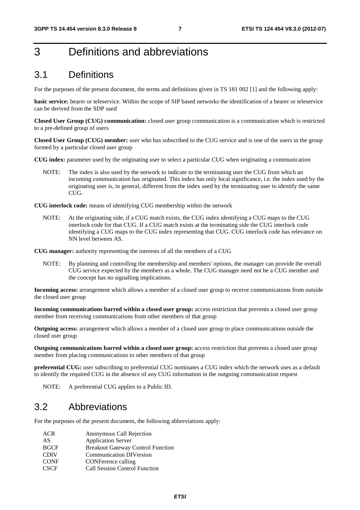# 3 Definitions and abbreviations

### 3.1 Definitions

For the purposes of the present document, the terms and definitions given in TS 181 002 [1] and the following apply:

**basic service:** bearer or teleservice. Within the scope of SIP based networks the identification of a bearer or teleservice can be derived from the SDP used

**Closed User Group (CUG) communication:** closed user group communication is a communication which is restricted to a pre-defined group of users

**Closed User Group (CUG) member:** user who has subscribed to the CUG service and is one of the users in the group formed by a particular closed user group

**CUG index:** parameter used by the originating user to select a particular CUG when originating a communication

NOTE: The index is also used by the network to indicate to the terminating user the CUG from which an incoming communication has originated. This index has only local significance, i.e. the index used by the originating user is, in general, different from the index used by the terminating user to identify the same CUG.

**CUG interlock code:** means of identifying CUG membership within the network

NOTE: At the originating side, if a CUG match exists, the CUG index identifying a CUG maps to the CUG interlock code for that CUG. If a CUG match exists at the terminating side the CUG interlock code identifying a CUG maps to the CUG index representing that CUG. CUG interlock code has relevance on NN level between AS.

**CUG manager:** authority representing the interests of all the members of a CUG

NOTE: By planning and controlling the membership and members' options, the manager can provide the overall CUG service expected by the members as a whole. The CUG manager need not be a CUG member and the concept has no signalling implications.

**Incoming access:** arrangement which allows a member of a closed user group to receive communications from outside the closed user group

**Incoming communications barred within a closed user group:** access restriction that prevents a closed user group member from receiving communications from other members of that group

**Outgoing access:** arrangement which allows a member of a closed user group to place communications outside the closed user group

**Outgoing communications barred within a closed user group:** access restriction that prevents a closed user group member from placing communications to other members of that group

**preferential CUG:** user subscribing to preferential CUG nominates a CUG index which the network uses as a default to identify the required CUG in the absence of any CUG information in the outgoing communication request

NOTE: A preferential CUG applies to a Public ID.

# 3.2 Abbreviations

For the purposes of the present document, the following abbreviations apply:

ACR Anonymous Call Rejection AS Application Server BGCF Breakout Gateway Control Function<br>
Communication DIVersion Communication DIVersion CONF CONFerence calling CSCF Call Session Control Function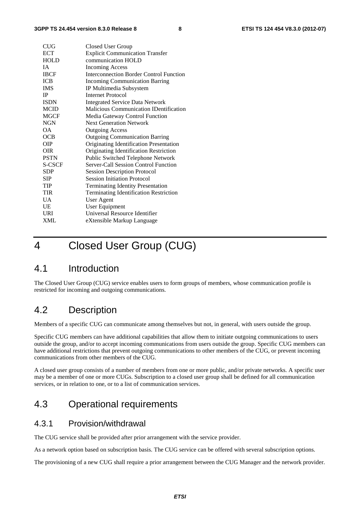| <b>CUG</b>      | Closed User Group                             |
|-----------------|-----------------------------------------------|
| <b>ECT</b>      | <b>Explicit Communication Transfer</b>        |
| <b>HOLD</b>     | communication HOLD                            |
| IA.             | Incoming Access                               |
| <b>IBCF</b>     | Interconnection Border Control Function       |
| <b>ICB</b>      | <b>Incoming Communication Barring</b>         |
| <b>IMS</b>      | IP Multimedia Subsystem                       |
| IP              | Internet Protocol                             |
| <b>ISDN</b>     | <b>Integrated Service Data Network</b>        |
| <b>MCID</b>     | <b>Malicious Communication IDentification</b> |
| <b>MGCF</b>     | Media Gateway Control Function                |
| <b>NGN</b>      | <b>Next Generation Network</b>                |
| OΑ.             | <b>Outgoing Access</b>                        |
| OCB             | <b>Outgoing Communication Barring</b>         |
| <b>OIP</b>      | Originating Identification Presentation       |
| <b>OIR</b>      | Originating Identification Restriction        |
| <b>PSTN</b>     | Public Switched Telephone Network             |
| <b>S-CSCF</b>   | Server-Call Session Control Function          |
| <b>SDP</b>      | <b>Session Description Protocol</b>           |
| SIP             | <b>Session Initiation Protocol</b>            |
| TIP             | <b>Terminating Identity Presentation</b>      |
| <b>TIR</b>      | <b>Terminating Identification Restriction</b> |
| $\overline{UA}$ | <b>User Agent</b>                             |
| UE              | User Equipment                                |
| <b>URI</b>      | Universal Resource Identifier                 |
| <b>XML</b>      | eXtensible Markup Language                    |

# 4 Closed User Group (CUG)

# 4.1 Introduction

The Closed User Group (CUG) service enables users to form groups of members, whose communication profile is restricted for incoming and outgoing communications.

# 4.2 Description

Members of a specific CUG can communicate among themselves but not, in general, with users outside the group.

Specific CUG members can have additional capabilities that allow them to initiate outgoing communications to users outside the group, and/or to accept incoming communications from users outside the group. Specific CUG members can have additional restrictions that prevent outgoing communications to other members of the CUG, or prevent incoming communications from other members of the CUG.

A closed user group consists of a number of members from one or more public, and/or private networks. A specific user may be a member of one or more CUGs. Subscription to a closed user group shall be defined for all communication services, or in relation to one, or to a list of communication services.

# 4.3 Operational requirements

### 4.3.1 Provision/withdrawal

The CUG service shall be provided after prior arrangement with the service provider.

As a network option based on subscription basis. The CUG service can be offered with several subscription options.

The provisioning of a new CUG shall require a prior arrangement between the CUG Manager and the network provider.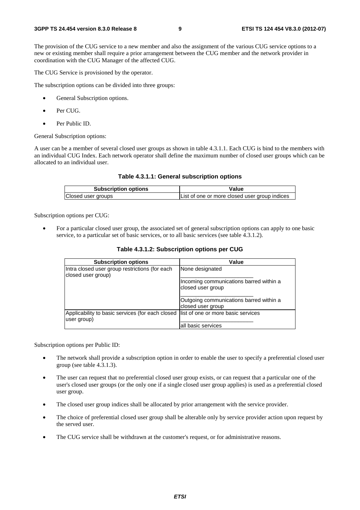The provision of the CUG service to a new member and also the assignment of the various CUG service options to a new or existing member shall require a prior arrangement between the CUG member and the network provider in coordination with the CUG Manager of the affected CUG.

The CUG Service is provisioned by the operator.

The subscription options can be divided into three groups:

- General Subscription options.
- Per CUG.
- Per Public ID.

General Subscription options:

A user can be a member of several closed user groups as shown in table 4.3.1.1. Each CUG is bind to the members with an individual CUG Index. Each network operator shall define the maximum number of closed user groups which can be allocated to an individual user.

#### **Table 4.3.1.1: General subscription options**

| <b>Subscription options</b> | Value                                         |  |
|-----------------------------|-----------------------------------------------|--|
| Closed user groups          | List of one or more closed user group indices |  |

Subscription options per CUG:

• For a particular closed user group, the associated set of general subscription options can apply to one basic service, to a particular set of basic services, or to all basic services (see table 4.3.1.2).

| <b>Subscription options</b>                                                                         | Value                                                        |
|-----------------------------------------------------------------------------------------------------|--------------------------------------------------------------|
| Intra closed user group restrictions (for each<br>closed user group)                                | None designated                                              |
|                                                                                                     | Incoming communications barred within a<br>closed user group |
|                                                                                                     | Outgoing communications barred within a<br>closed user group |
| Applicability to basic services (for each closed  list of one or more basic services<br>user group) |                                                              |
|                                                                                                     | all basic services                                           |

**Table 4.3.1.2: Subscription options per CUG** 

Subscription options per Public ID:

- The network shall provide a subscription option in order to enable the user to specify a preferential closed user group (see table 4.3.1.3).
- The user can request that no preferential closed user group exists, or can request that a particular one of the user's closed user groups (or the only one if a single closed user group applies) is used as a preferential closed user group.
- The closed user group indices shall be allocated by prior arrangement with the service provider.
- The choice of preferential closed user group shall be alterable only by service provider action upon request by the served user.
- The CUG service shall be withdrawn at the customer's request, or for administrative reasons.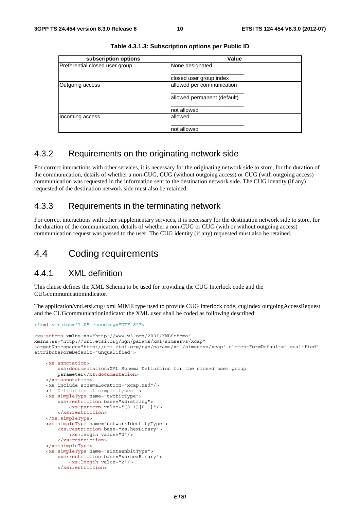| subscription options           | Value                       |  |
|--------------------------------|-----------------------------|--|
| Preferential closed user group | None designated             |  |
|                                | closed user group index     |  |
| Outgoing access                | allowed per communication   |  |
|                                | allowed permanent (default) |  |
|                                | Inot allowed                |  |
| Incoming access                | lallowed                    |  |
|                                | Inot allowed                |  |

**Table 4.3.1.3: Subscription options per Public ID** 

### 4.3.2 Requirements on the originating network side

For correct interactions with other services, it is necessary for the originating network side to store, for the duration of the communication, details of whether a non-CUG, CUG (without outgoing access) or CUG (with outgoing access) communication was requested in the information sent to the destination network side. The CUG identity (if any) requested of the destination network side must also be retained.

### 4.3.3 Requirements in the terminating network

For correct interactions with other supplementary services, it is necessary for the destination network side to store, for the duration of the communication, details of whether a non-CUG or CUG (with or without outgoing access) communication request was passed to the user. The CUG identity (if any) requested must also be retained.

# 4.4 Coding requirements

### 4.4.1 XML definition

</xs:simpleType>

</xs:restriction>

 <xs:simpleType name="sixteenbitType"> <xs:restriction base="xs:hexBinary"> <xs:length value="2"/>

This clause defines the XML Schema to be used for providing the CUG Interlock code and the CUGcommunicationindicator.

The application/vnd.etsi.cug+xml MIME type used to provide CUG Interlock code, cugIndex outgoingAccessRequest and the CUGcommunicationindicator the XML used shall be coded as following described:

```
<?xml version="1.0" encoding="UTF-8"?>
<xs:schema xmlns:xs="http://www.w3.org/2001/XMLSchema" 
xmlns:ss="http://uri.etsi.org/ngn/params/xml/simservs/xcap" 
targetNamespace="http://uri.etsi.org/ngn/params/xml/simservs/xcap" elementFormDefault=" qualified" 
attributeFormDefault="unqualified">
     <xs:annotation> 
         <xs:documentation>XML Schema Definition for the closed user group 
         parameter</xs:documentation> 
     </xs:annotation> 
     <xs:include schemaLocation="xcap.xsd"/> 
     <!--Definition of simple types--> 
     <xs:simpleType name="twobitType"> 
         <xs:restriction base="xs:string"> 
             <xs:pattern value="[0-1][0-1]"/> 
         </xs:restriction> 
     </xs:simpleType> 
     <xs:simpleType name="networkIdentityType"> 
         <xs:restriction base="xs:hexBinary"> 
             <xs:length value="2"/> 
         </xs:restriction>
```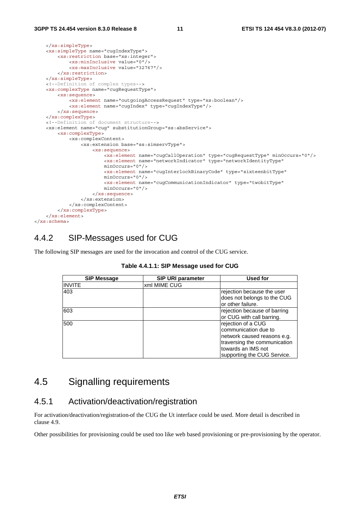```
 </xs:simpleType> 
     <xs:simpleType name="cugIndexType"> 
         <xs:restriction base="xs:integer"> 
             <xs:minInclusive value="0"/> 
             <xs:maxInclusive value="32767"/> 
         </xs:restriction> 
     </xs:simpleType> 
     <!--Definition of complex types--> 
     <xs:complexType name="cugRequestType"> 
         <xs:sequence> 
             <xs:element name="outgoingAccessRequest" type="xs:boolean"/> 
             <xs:element name="cugIndex" type="cugIndexType"/> 
         </xs:sequence> 
     </xs:complexType> 
     <!--Definition of document structure--> 
     <xs:element name="cug" substitutionGroup="ss:absService"> 
         <xs:complexType> 
             <xs:complexContent> 
                  <xs:extension base="ss:simservType"> 
                      <xs:sequence> 
                          <xs:element name="cugCallOperation" type="cugRequestType" minOccurs="0"/> 
                          <xs:element name="networkIndicator" type="networkIdentityType" 
                          minOccurs="0"/> 
                          <xs:element name="cugInterlockBinaryCode" type="sixteenbitType" 
                         minOc^{ours} = "0"/>
                           <xs:element name="cugCommunicationIndicator" type="twobitType" 
                          minOccurs="0"/> 
                      </xs:sequence> 
                  </xs:extension> 
             </xs:complexContent> 
         </xs:complexType> 
     </xs:element> 
</xs:schema>
```
### 4.4.2 SIP-Messages used for CUG

The following SIP messages are used for the invocation and control of the CUG service.

| <b>SIP Message</b> | SIP URI parameter | Used for                     |
|--------------------|-------------------|------------------------------|
| <b>INVITE</b>      | xml MIME CUG      |                              |
| 403                |                   | rejection because the user   |
|                    |                   | does not belongs to the CUG  |
|                    |                   | or other failure.            |
| 603                |                   | rejection because of barring |
|                    |                   | or CUG with call barring.    |
| 500                |                   | rejection of a CUG           |
|                    |                   | communication due to         |
|                    |                   | network caused reasons e.g.  |
|                    |                   | traversing the communication |
|                    |                   | towards an IMS not           |
|                    |                   | supporting the CUG Service.  |

# 4.5 Signalling requirements

### 4.5.1 Activation/deactivation/registration

For activation/deactivation/registration of the CUG the Ut interface could be used. More detail is described in clause 4.9.

Other possibilities for provisioning could be used too like web based provisioning or pre-provisioning by the operator.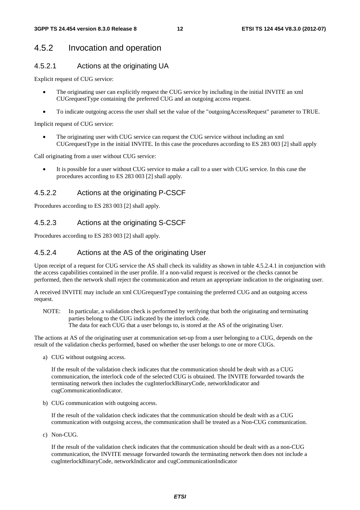### 4.5.2 Invocation and operation

#### 4.5.2.1 Actions at the originating UA

Explicit request of CUG service:

- The originating user can explicitly request the CUG service by including in the initial INVITE an xml CUGrequestType containing the preferred CUG and an outgoing access request.
- To indicate outgoing access the user shall set the value of the "outgoingAccessRequest" parameter to TRUE.

Implicit request of CUG service:

• The originating user with CUG service can request the CUG service without including an xml CUGrequestType in the initial INVITE. In this case the procedures according to ES 283 003 [2] shall apply

Call originating from a user without CUG service:

It is possible for a user without CUG service to make a call to a user with CUG service. In this case the procedures according to ES 283 003 [2] shall apply.

#### 4.5.2.2 Actions at the originating P-CSCF

Procedures according to ES 283 003 [2] shall apply.

#### 4.5.2.3 Actions at the originating S-CSCF

Procedures according to ES 283 003 [2] shall apply.

#### 4.5.2.4 Actions at the AS of the originating User

Upon receipt of a request for CUG service the AS shall check its validity as shown in table 4.5.2.4.1 in conjunction with the access capabilities contained in the user profile. If a non-valid request is received or the checks cannot be performed, then the network shall reject the communication and return an appropriate indication to the originating user.

A received INVITE may include an xml CUGrequestType containing the preferred CUG and an outgoing access request.

NOTE: In particular, a validation check is performed by verifying that both the originating and terminating parties belong to the CUG indicated by the interlock code. The data for each CUG that a user belongs to, is stored at the AS of the originating User.

The actions at AS of the originating user at communication set-up from a user belonging to a CUG, depends on the result of the validation checks performed, based on whether the user belongs to one or more CUGs.

a) CUG without outgoing access.

 If the result of the validation check indicates that the communication should be dealt with as a CUG communication, the interlock code of the selected CUG is obtained. The INVITE forwarded towards the terminating network then includes the cugInterlockBinaryCode, networkIndicator and cugCommunicationIndicator.

b) CUG communication with outgoing access.

 If the result of the validation check indicates that the communication should be dealt with as a CUG communication with outgoing access, the communication shall be treated as a Non-CUG communication.

c) Non-CUG.

 If the result of the validation check indicates that the communication should be dealt with as a non-CUG communication, the INVITE message forwarded towards the terminating network then does not include a cugInterlockBinaryCode, networkIndicator and cugCommunicationIndicator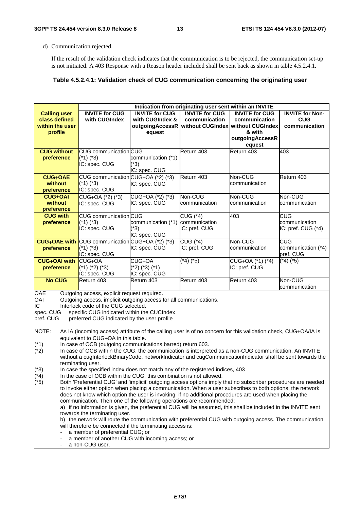d) Communication rejected.

 If the result of the validation check indicates that the communication is to be rejected, the communication set-up is not initiated. A 403 Response with a Reason header included shall be sent back as shown in table 4.5.2.4.1.

#### **Table 4.5.2.4.1: Validation check of CUG communication concerning the originating user**

| Indication from originating user sent within an INVITE                                                                                                                                                                                                                                                                                                                                                                                                                                                                                                                                                                                                                                                                                                                                                                                                                                                                                                                                                                                                                                                     |                                                                                       |                                                    |                                                                                                 |                                                                               |                                                       |  |  |
|------------------------------------------------------------------------------------------------------------------------------------------------------------------------------------------------------------------------------------------------------------------------------------------------------------------------------------------------------------------------------------------------------------------------------------------------------------------------------------------------------------------------------------------------------------------------------------------------------------------------------------------------------------------------------------------------------------------------------------------------------------------------------------------------------------------------------------------------------------------------------------------------------------------------------------------------------------------------------------------------------------------------------------------------------------------------------------------------------------|---------------------------------------------------------------------------------------|----------------------------------------------------|-------------------------------------------------------------------------------------------------|-------------------------------------------------------------------------------|-------------------------------------------------------|--|--|
| <b>Calling user</b><br>class defined<br>within the user<br>profile                                                                                                                                                                                                                                                                                                                                                                                                                                                                                                                                                                                                                                                                                                                                                                                                                                                                                                                                                                                                                                         | <b>INVITE for CUG</b><br>with CUGIndex                                                | <b>INVITE for CUG</b><br>with CUGIndex &<br>equest | <b>INVITE for CUG</b><br>communication<br>outgoingAccessR   without CUGIndex   without CUGIndex | <b>INVITE for CUG</b><br>communication<br>& with<br>outgoingAccessR<br>equest | <b>INVITE for Non-</b><br><b>CUG</b><br>communication |  |  |
| <b>CUG without</b><br>preference                                                                                                                                                                                                                                                                                                                                                                                                                                                                                                                                                                                                                                                                                                                                                                                                                                                                                                                                                                                                                                                                           | CUG communication CUG<br>$(*1)$ $(*3)$<br>IC: spec. CUG                               | communication (*1)<br>(*3)<br>IC: spec. CUG        | Return 403                                                                                      | Return 403                                                                    | 403                                                   |  |  |
| <b>CUG+OAE</b><br>without<br>preference                                                                                                                                                                                                                                                                                                                                                                                                                                                                                                                                                                                                                                                                                                                                                                                                                                                                                                                                                                                                                                                                    | CUG communication CUG+OA (*2) (*3)<br>$(*1)$ $(*3)$<br>IC: spec. CUG                  | IC: spec. CUG                                      | Return 403                                                                                      | Non-CUG<br>communication                                                      | Return 403                                            |  |  |
| <b>CUG+OAI</b><br>without<br>preference                                                                                                                                                                                                                                                                                                                                                                                                                                                                                                                                                                                                                                                                                                                                                                                                                                                                                                                                                                                                                                                                    | CUG+OA (*2) (*3)<br>IC: spec. CUG                                                     | CUG+OA (*2) (*3)<br>IC: spec. CUG                  | Non-CUG<br>communication                                                                        | Non-CUG<br>communication                                                      | Non-CUG<br>communication                              |  |  |
| <b>CUG with</b><br>preference                                                                                                                                                                                                                                                                                                                                                                                                                                                                                                                                                                                                                                                                                                                                                                                                                                                                                                                                                                                                                                                                              | CUG communication CUG<br>$(*1)$ $(*3)$<br>IC: spec. CUG                               | communication (*1)<br>$(*3)$<br>IC: spec. CUG      | CUG (*4)<br>communication<br>IC: pref. CUG                                                      | 403                                                                           | CUG<br>communication<br>IC: pref. CUG (*4)            |  |  |
| preference                                                                                                                                                                                                                                                                                                                                                                                                                                                                                                                                                                                                                                                                                                                                                                                                                                                                                                                                                                                                                                                                                                 | <b>CUG+OAE with CUG communication CUG+OA (*2) (*3)</b><br>$(1)$ (*3)<br>IC: spec. CUG | IC: spec. CUG                                      | CUG (*4)<br>IC: pref. CUG                                                                       | Non-CUG<br>communication                                                      | CUG<br>communication (*4)<br>pref. CUG                |  |  |
| <b>CUG+OAI with</b><br>preference                                                                                                                                                                                                                                                                                                                                                                                                                                                                                                                                                                                                                                                                                                                                                                                                                                                                                                                                                                                                                                                                          | $CUG+OA$<br>$(*1)$ $(*2)$ $(*3)$<br>IC: spec. CUG                                     | CUG+OA<br>(*2) (*3) (*1)<br>IC: spec. CUG          | $(*4)$ $(*5)$                                                                                   | CUG+OA (*1) (*4)<br>IC: pref. CUG                                             | $\sqrt{-4}$ (*5)                                      |  |  |
| <b>No CUG</b>                                                                                                                                                                                                                                                                                                                                                                                                                                                                                                                                                                                                                                                                                                                                                                                                                                                                                                                                                                                                                                                                                              | Return 403                                                                            | Return 403                                         | Return 403                                                                                      | Return 403                                                                    | Non-CUG<br>communication                              |  |  |
| OAE<br>Outgoing access, explicit request required.<br>Outgoing access, implicit outgoing access for all communications.<br>OAI<br>IС<br>Interlock code of the CUG selected.<br>specific CUG indicated within the CUCIndex<br>spec. CUG<br>pref. CUG<br>preferred CUG indicated by the user profile<br>NOTE:<br>As IA (incoming access) attribute of the calling user is of no concern for this validation check, CUG+OA/IA is<br>equivalent to CUG+OA in this table.<br>$(*1)$<br>In case of OCB (outgoing communications barred) return 603.<br>In case of OCB within the CUG, the communication is interpreted as a non-CUG communication. An INVITE<br>$(*2)$<br>without a cugInterlockBinaryCode, networkIndicator and cugCommunicationIndicator shall be sent towards the<br>terminating user.<br>$(*3)$<br>In case the specified index does not match any of the registered indices, 403<br>$(*4)$<br>In the case of OCB within the CUG, this combination is not allowed.<br>$(*5)$<br>Both 'Preferential CUG' and 'implicit' outgoing access options imply that no subscriber procedures are needed |                                                                                       |                                                    |                                                                                                 |                                                                               |                                                       |  |  |
| to invoke either option when placing a communication. When a user subscribes to both options, the network<br>does not know which option the user is invoking, if no additional procedures are used when placing the<br>communication. Then one of the following operations are recommended:<br>a) if no information is given, the preferential CUG will be assumed, this shall be included in the INVITE sent<br>towards the terminating user.<br>b) the network will route the communication with preferential CUG with outgoing access. The communication<br>will therefore be connected if the terminating access is:<br>a member of preferential CUG; or<br>a member of another CUG with incoming access; or<br>a non-CUG user.                                                                                                                                                                                                                                                                                                                                                                        |                                                                                       |                                                    |                                                                                                 |                                                                               |                                                       |  |  |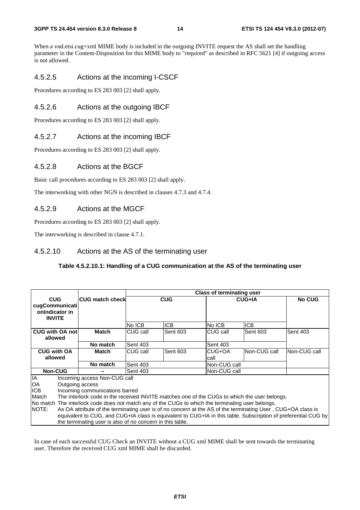#### **3GPP TS 24.454 version 8.3.0 Release 8 14 ETSI TS 124 454 V8.3.0 (2012-07)**

When a vnd.etsi.cug+xml MIME body is included in the outgoing INVITE request the AS shall set the handling parameter in the Content-Disposition for this MIME body to "required" as described in RFC 5621 [4] if outgoing access is not allowed.

#### 4.5.2.5 Actions at the incoming I-CSCF

Procedures according to ES 283 003 [2] shall apply.

#### 4.5.2.6 Actions at the outgoing IBCF

Procedures according to ES 283 003 [2] shall apply.

#### 4.5.2.7 Actions at the incoming IBCF

Procedures according to ES 283 003 [2] shall apply.

#### 4.5.2.8 Actions at the BGCF

Basic call procedures according to ES 283 003 [2] shall apply.

The interworking with other NGN is described in clauses 4.7.3 and 4.7.4.

#### 4.5.2.9 Actions at the MGCF

Procedures according to ES 283 003 [2] shall apply.

The interworking is described in clause 4.7.1.

#### 4.5.2.10 Actions at the AS of the terminating user

#### **Table 4.5.2.10.1: Handling of a CUG communication at the AS of the terminating user**

|                                                                 |                                                                                                                                                                                                                                                                                                                                                                                                                                                                                                                         | <b>Class of terminating user</b>   |                 |                |               |                 |
|-----------------------------------------------------------------|-------------------------------------------------------------------------------------------------------------------------------------------------------------------------------------------------------------------------------------------------------------------------------------------------------------------------------------------------------------------------------------------------------------------------------------------------------------------------------------------------------------------------|------------------------------------|-----------------|----------------|---------------|-----------------|
| <b>CUG</b><br>cugCommunicati<br>onIndicator in<br><b>INVITE</b> | <b>ICUG match check</b>                                                                                                                                                                                                                                                                                                                                                                                                                                                                                                 |                                    | <b>CUG</b>      |                | <b>CUG+IA</b> | <b>No CUG</b>   |
|                                                                 |                                                                                                                                                                                                                                                                                                                                                                                                                                                                                                                         | No ICB                             | <b>ICB</b>      | No ICB         | <b>ICB</b>    |                 |
| <b>CUG with OA not</b><br>allowed                               | Match                                                                                                                                                                                                                                                                                                                                                                                                                                                                                                                   | CUG call                           | <b>Sent 603</b> | CUG call       | Sent 603      | <b>Sent 403</b> |
|                                                                 | No match                                                                                                                                                                                                                                                                                                                                                                                                                                                                                                                | <b>Sent 403</b><br><b>Sent 403</b> |                 |                |               |                 |
| <b>CUG with OA</b><br>allowed                                   | Match                                                                                                                                                                                                                                                                                                                                                                                                                                                                                                                   | CUG call                           | Sent 603        | CUG+OA<br>call | Non-CUG call  | Non-CUG call    |
|                                                                 | No match                                                                                                                                                                                                                                                                                                                                                                                                                                                                                                                | <b>Sent 403</b>                    |                 | Non-CUG call   |               |                 |
| <b>Non-CUG</b>                                                  |                                                                                                                                                                                                                                                                                                                                                                                                                                                                                                                         | <b>Sent 403</b>                    |                 |                | Non-CUG call  |                 |
| <b>IA</b><br>OA<br><b>ICB</b><br>Match<br><b>NOTE:</b>          | Incoming access Non-CUG call<br>Outgoing access<br>Incoming communications barred<br>The interlock code in the received INVITE matches one of the CUGs to which the user belongs.<br>No match The interlock code does not match any of the CUGs to which the terminating user belongs.<br>As OA attribute of the terminating user is of no concern at the AS of the terminating User, CUG+OA class is<br>equivalent to CUG, and CUG+IA class is equivalent to CUG+IA in this table. Subscription of preferential CUG by |                                    |                 |                |               |                 |
|                                                                 | the terminating user is also of no concern in this table.                                                                                                                                                                                                                                                                                                                                                                                                                                                               |                                    |                 |                |               |                 |

In case of each successful CUG Check an INVITE without a CUG xml MIME shall be sent towards the terminating user. Therefore the received CUG xml MIME shall be discarded.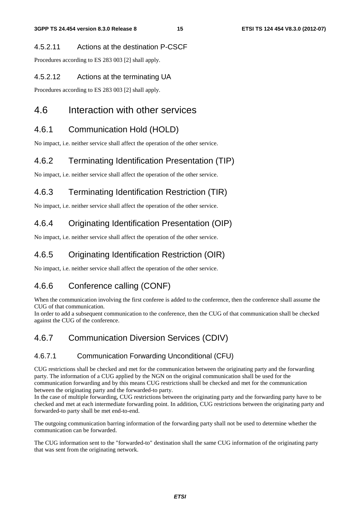#### 4.5.2.11 Actions at the destination P-CSCF

Procedures according to ES 283 003 [2] shall apply.

#### 4.5.2.12 Actions at the terminating UA

Procedures according to ES 283 003 [2] shall apply.

# 4.6 Interaction with other services

# 4.6.1 Communication Hold (HOLD)

No impact, i.e. neither service shall affect the operation of the other service.

### 4.6.2 Terminating Identification Presentation (TIP)

No impact, i.e. neither service shall affect the operation of the other service.

# 4.6.3 Terminating Identification Restriction (TIR)

No impact, i.e. neither service shall affect the operation of the other service.

# 4.6.4 Originating Identification Presentation (OIP)

No impact, i.e. neither service shall affect the operation of the other service.

# 4.6.5 Originating Identification Restriction (OIR)

No impact, i.e. neither service shall affect the operation of the other service.

# 4.6.6 Conference calling (CONF)

When the communication involving the first conferee is added to the conference, then the conference shall assume the CUG of that communication.

In order to add a subsequent communication to the conference, then the CUG of that communication shall be checked against the CUG of the conference.

# 4.6.7 Communication Diversion Services (CDIV)

#### 4.6.7.1 Communication Forwarding Unconditional (CFU)

CUG restrictions shall be checked and met for the communication between the originating party and the forwarding party. The information of a CUG applied by the NGN on the original communication shall be used for the communication forwarding and by this means CUG restrictions shall be checked and met for the communication between the originating party and the forwarded-to party.

In the case of multiple forwarding, CUG restrictions between the originating party and the forwarding party have to be checked and met at each intermediate forwarding point. In addition, CUG restrictions between the originating party and forwarded-to party shall be met end-to-end.

The outgoing communication barring information of the forwarding party shall not be used to determine whether the communication can be forwarded.

The CUG information sent to the "forwarded-to" destination shall the same CUG information of the originating party that was sent from the originating network.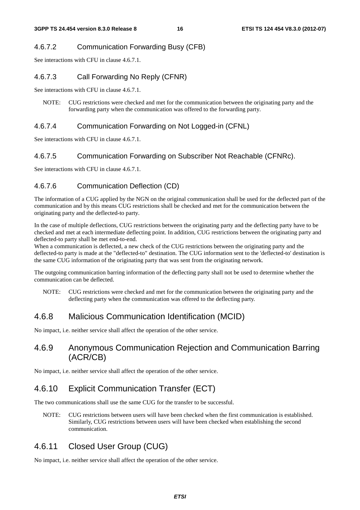### 4.6.7.2 Communication Forwarding Busy (CFB)

See interactions with CFU in clause 4.6.7.1.

### 4.6.7.3 Call Forwarding No Reply (CFNR)

See interactions with CFU in clause 4.6.7.1.

NOTE: CUG restrictions were checked and met for the communication between the originating party and the forwarding party when the communication was offered to the forwarding party.

### 4.6.7.4 Communication Forwarding on Not Logged-in (CFNL)

See interactions with CFU in clause 4.6.7.1.

### 4.6.7.5 Communication Forwarding on Subscriber Not Reachable (CFNRc).

See interactions with CFU in clause 4.6.7.1.

### 4.6.7.6 Communication Deflection (CD)

The information of a CUG applied by the NGN on the original communication shall be used for the deflected part of the communication and by this means CUG restrictions shall be checked and met for the communication between the originating party and the deflected-to party.

In the case of multiple deflections, CUG restrictions between the originating party and the deflecting party have to be checked and met at each intermediate deflecting point. In addition, CUG restrictions between the originating party and deflected-to party shall be met end-to-end.

When a communication is deflected, a new check of the CUG restrictions between the originating party and the deflected-to party is made at the "deflected-to" destination. The CUG information sent to the 'deflected-to' destination is the same CUG information of the originating party that was sent from the originating network.

The outgoing communication barring information of the deflecting party shall not be used to determine whether the communication can be deflected.

NOTE: CUG restrictions were checked and met for the communication between the originating party and the deflecting party when the communication was offered to the deflecting party.

# 4.6.8 Malicious Communication Identification (MCID)

No impact, i.e. neither service shall affect the operation of the other service.

### 4.6.9 Anonymous Communication Rejection and Communication Barring (ACR/CB)

No impact, i.e. neither service shall affect the operation of the other service.

# 4.6.10 Explicit Communication Transfer (ECT)

The two communications shall use the same CUG for the transfer to be successful.

NOTE: CUG restrictions between users will have been checked when the first communication is established. Similarly, CUG restrictions between users will have been checked when establishing the second communication.

# 4.6.11 Closed User Group (CUG)

No impact, i.e. neither service shall affect the operation of the other service.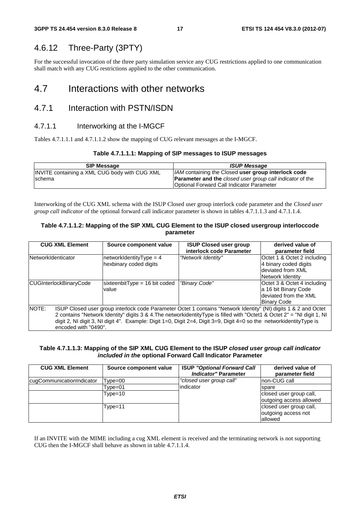### 4.6.12 Three-Party (3PTY)

For the successful invocation of the three party simulation service any CUG restrictions applied to one communication shall match with any CUG restrictions applied to the other communication.

# 4.7 Interactions with other networks

### 4.7.1 Interaction with PSTN/ISDN

#### 4.7.1.1 Interworking at the I-MGCF

Tables 4.7.1.1.1 and 4.7.1.1.2 show the mapping of CUG relevant messages at the I-MGCF.

#### **Table 4.7.1.1.1: Mapping of SIP messages to ISUP messages**

| <b>SIP Message</b>                            | <b>ISUP Message</b>                                              |
|-----------------------------------------------|------------------------------------------------------------------|
| INVITE containing a XML CUG body with CUG XML | <i>AM</i> containing the Closed user group interlock code        |
| <b>Ischema</b>                                | <b>Parameter and the closed user group call indicator of the</b> |
|                                               | Optional Forward Call Indicator Parameter                        |

Interworking of the CUG XML schema with the ISUP Closed user group interlock code parameter and the *Closed user group call indicator* of the optional forward call indicator parameter is shown in tables 4.7.1.1.3 and 4.7.1.1.4.

#### **Table 4.7.1.1.2: Mapping of the SIP XML CUG Element to the ISUP closed usergroup interloccode parameter**

| <b>CUG XML Element</b>        | Source component value                                                                                                                                                                                                                                                                                                                                                                     | <b>ISUP Closed user group</b><br>interlock code Parameter | derived value of<br>parameter field                                                                |  |
|-------------------------------|--------------------------------------------------------------------------------------------------------------------------------------------------------------------------------------------------------------------------------------------------------------------------------------------------------------------------------------------------------------------------------------------|-----------------------------------------------------------|----------------------------------------------------------------------------------------------------|--|
| NetworkIdenticator            | networkIdentityType = $4$<br>hexbinary coded digits                                                                                                                                                                                                                                                                                                                                        | "Network Identity"                                        | Octet 1 & Octet 2 including<br>4 binary coded digits<br>deviated from XML<br>Network Identity      |  |
| <b>CUGInterlockBinaryCode</b> | sixteenbitType = 16 bit coded<br>value                                                                                                                                                                                                                                                                                                                                                     | "Binary Code"                                             | Octet 3 & Octet 4 including<br>a 16 bit Binary Code<br>deviated from the XML<br><b>Binary Code</b> |  |
| NOTE:                         | ISUP Closed user group interlock code Parameter Octet 1 contains "Network Identity" (NI) digits 1 & 2 and Octet<br>2 contains "Network Identity" digits 3 & 4. The networkidentity Type is filled with "Octet1 & Octet 2" = "NI digit 1, NI<br>digit 2, NI digit 3, NI digit 4". Example: Digit 1=0, Digit 2=4, Digit 3=9, Digit 4=0 so the networkidentityType is<br>encoded with "0490". |                                                           |                                                                                                    |  |

#### **Table 4.7.1.1.3: Mapping of the SIP XML CUG Element to the ISUP** *closed user group call indicator included in the* **optional Forward Call Indicator Parameter**

| <b>CUG XML Element</b>    | Source component value | <b>ISUP "Optional Forward Call</b><br><b>Indicator" Parameter</b> | derived value of<br>parameter field |
|---------------------------|------------------------|-------------------------------------------------------------------|-------------------------------------|
| cugCommunicationIndicator | Type=00                | "closed user group call"                                          | Inon-CUG call                       |
|                           | Tvpe=01                | indicator                                                         | spare                               |
|                           | $Type=10$              |                                                                   | closed user group call,             |
|                           |                        |                                                                   | outgoing access allowed             |
|                           | Type=11                |                                                                   | closed user group call,             |
|                           |                        |                                                                   | outgoing access not                 |
|                           |                        |                                                                   | allowed                             |

If an INVITE with the MIME including a cug XML element is received and the terminating network is not supporting CUG then the I-MGCF shall behave as shown in table 4.7.1.1.4.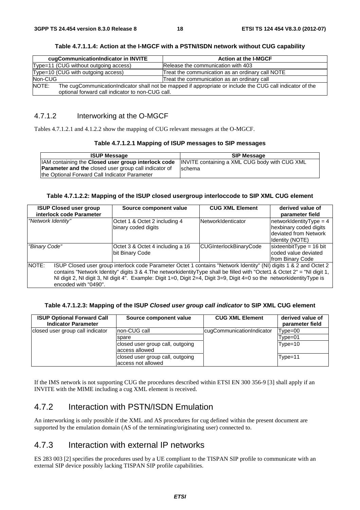**Table 4.7.1.1.4: Action at the I-MGCF with a PSTN/ISDN network without CUG capability** 

| cugCommunicationIndicator in INVITE                                                                                                                                    | <b>Action at the I-MGCF</b>                      |  |  |  |
|------------------------------------------------------------------------------------------------------------------------------------------------------------------------|--------------------------------------------------|--|--|--|
| Type=11 (CUG without outgoing access)                                                                                                                                  | Release the communication with 403               |  |  |  |
| Type=10 (CUG with outgoing access)                                                                                                                                     | Treat the communication as an ordinary call NOTE |  |  |  |
| Non-CUG                                                                                                                                                                | Treat the communication as an ordinary call      |  |  |  |
| NOTE:<br>The cugCommunicationIndicator shall not be mapped if appropriate or include the CUG call indicator of the<br>optional forward call indicator to non-CUG call. |                                                  |  |  |  |

### 4.7.1.2 Interworking at the O-MGCF

Tables 4.7.1.2.1 and 4.1.2.2 show the mapping of CUG relevant messages at the O-MGCF.

#### **Table 4.7.1.2.1 Mapping of ISUP messages to SIP messages**

| <b>ISUP Message</b>                                                                                 | <b>SIP Message</b> |
|-----------------------------------------------------------------------------------------------------|--------------------|
| IIAM containing the Closed user group interlock code  INVITE containing a XML CUG body with CUG XML |                    |
| <b>Parameter and the closed user group call indicator of</b>                                        | <b>Ischema</b>     |
| the Optional Forward Call Indicator Parameter                                                       |                    |

#### **Table 4.7.1.2.2: Mapping of the ISUP closed usergroup interloccode to SIP XML CUG element**

| <b>ISUP Closed user group</b><br>interlock code Parameter | Source component value                                                                                                                                                                                                                                                                                                                                                   | <b>CUG XML Element</b>                                                                                                | derived value of<br>parameter field                                   |  |  |  |
|-----------------------------------------------------------|--------------------------------------------------------------------------------------------------------------------------------------------------------------------------------------------------------------------------------------------------------------------------------------------------------------------------------------------------------------------------|-----------------------------------------------------------------------------------------------------------------------|-----------------------------------------------------------------------|--|--|--|
| "Network Identity"                                        | Octet 1 & Octet 2 including 4<br>binary coded digits                                                                                                                                                                                                                                                                                                                     | $networkIdentityType = 4$<br>NetworkIdenticator<br>hexbinary coded digits<br>deviated from Network<br>Identity (NOTE) |                                                                       |  |  |  |
| "Binary Code"                                             | Octet 3 & Octet 4 including a 16<br>bit Binary Code                                                                                                                                                                                                                                                                                                                      | CUGInterlockBinaryCode                                                                                                | sixteenbitType = $16$ bit<br>coded value deviated<br>from Binary Code |  |  |  |
| NOTE:<br>encoded with "0490".                             | ISUP Closed user group interlock code Parameter Octet 1 contains "Network Identity" (NI) digits 1 & 2 and Octet 2<br>contains "Network Identity" digits 3 & 4. The networkidentity Type shall be filled with "Octet1 & Octet 2" = "NI digit 1,<br>NI digit 2, NI digit 3, NI digit 4". Example: Digit 1=0, Digit 2=4, Digit 3=9, Digit 4=0 so the networkidentityType is |                                                                                                                       |                                                                       |  |  |  |

#### **Table 4.7.1.2.3: Mapping of the ISUP** *Closed user group call indicator* **to SIP XML CUG element**

| <b>ISUP Optional Forward Call</b><br><b>Indicator Parameter</b> | Source component value                                 | <b>CUG XML Element</b>    | derived value of<br>parameter field |
|-----------------------------------------------------------------|--------------------------------------------------------|---------------------------|-------------------------------------|
| closed user group call indicator                                | Inon-CUG call                                          | cugCommunicationIndicator | Type=00                             |
|                                                                 | spare                                                  |                           | Type=01                             |
|                                                                 | closed user group call, outgoing<br>access allowed     |                           | $Type=10$                           |
|                                                                 | closed user group call, outgoing<br>access not allowed |                           | Type=11                             |

If the IMS network is not supporting CUG the procedures described within ETSI EN 300 356-9 [3] shall apply if an INVITE with the MIME including a cug XML element is received.

# 4.7.2 Interaction with PSTN/ISDN Emulation

An interworking is only possible if the XML and AS procedures for cug defined within the present document are supported by the emulation domain (AS of the terminating/originating user) connected to.

### 4.7.3 Interaction with external IP networks

ES 283 003 [2] specifies the procedures used by a UE compliant to the TISPAN SIP profile to communicate with an external SIP device possibly lacking TISPAN SIP profile capabilities.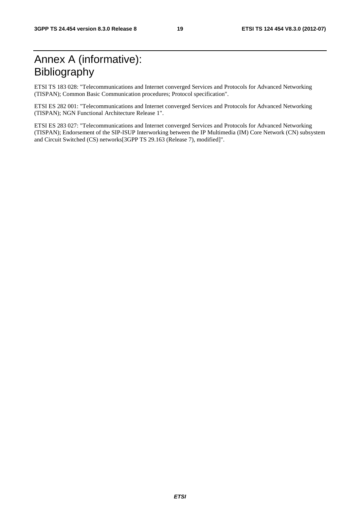# Annex A (informative): Bibliography

ETSI TS 183 028: "Telecommunications and Internet converged Services and Protocols for Advanced Networking (TISPAN); Common Basic Communication procedures; Protocol specification".

ETSI ES 282 001: "Telecommunications and Internet converged Services and Protocols for Advanced Networking (TISPAN); NGN Functional Architecture Release 1".

ETSI ES 283 027: "Telecommunications and Internet converged Services and Protocols for Advanced Networking (TISPAN); Endorsement of the SIP-ISUP Interworking between the IP Multimedia (IM) Core Network (CN) subsystem and Circuit Switched (CS) networks[3GPP TS 29.163 (Release 7), modified]".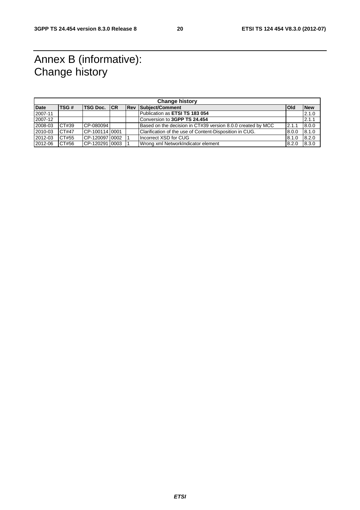# Annex B (informative): Change history

| <b>Change history</b> |       |                |  |  |                                                             |       |            |
|-----------------------|-------|----------------|--|--|-------------------------------------------------------------|-------|------------|
| <b>Date</b>           | TSG#  | TSG Doc. CR    |  |  | <b>Rev Subject/Comment</b>                                  | lOld  | <b>New</b> |
| 2007-11               |       |                |  |  | Publication as ETSI TS 183 054                              |       | 2.1.0      |
| 2007-12               |       |                |  |  | Conversion to 3GPP TS 24.454                                |       | 2.1.1      |
| 2008-03               | CT#39 | CP-080094      |  |  | Based on the decision in CT#39 version 8.0.0 created by MCC | 2.1.1 | 8.0.0      |
| 2010-03               | CT#47 | CP-10011410001 |  |  | Clarification of the use of Content-Disposition in CUG.     | 8.0.0 | 8.1.0      |
| 2012-03               | CT#55 | CP-12009710002 |  |  | Incorrect XSD for CUG                                       | 8.1.0 | 8.2.0      |
| 2012-06               | CT#56 |                |  |  | Wrong xml NetworkIndicator element                          | 8.2.0 | 8.3.0      |